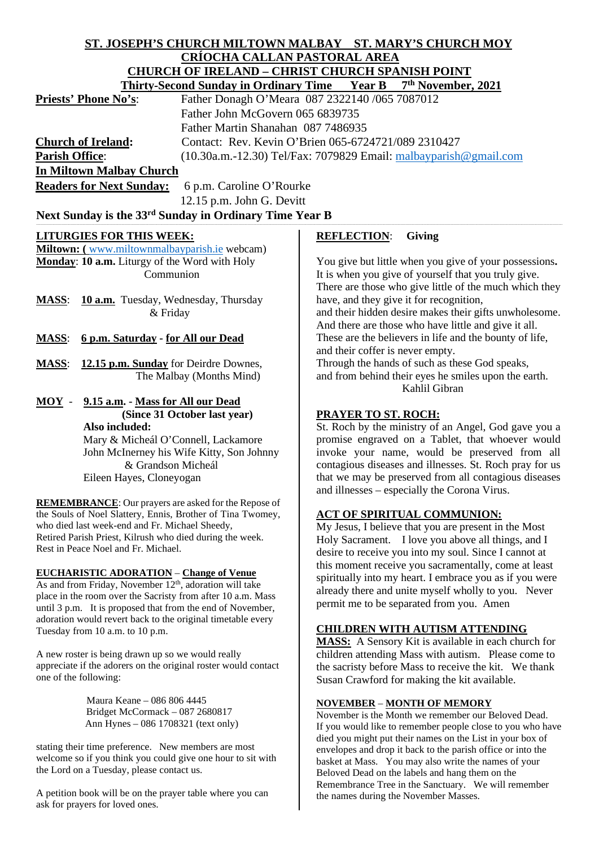# **ST. JOSEPH'S CHURCH MILTOWN MALBAY ST. MARY'S CHURCH MOY CRÍOCHA CALLAN PASTORAL AREA CHURCH OF IRELAND – CHRIST CHURCH SPANISH POINT**

| 7 <sup>th</sup> November, 2021<br>Thirty-Second Sunday in Ordinary Time Year B                               |                                                             |                                                                                                            |  |
|--------------------------------------------------------------------------------------------------------------|-------------------------------------------------------------|------------------------------------------------------------------------------------------------------------|--|
|                                                                                                              | Priests' Phone No's:                                        | Father Donagh O'Meara 087 2322140 /065 7087012                                                             |  |
|                                                                                                              |                                                             | Father John McGovern 065 6839735                                                                           |  |
|                                                                                                              | Father Martin Shanahan 087 7486935                          |                                                                                                            |  |
|                                                                                                              | <b>Church of Ireland:</b>                                   | Contact: Rev. Kevin O'Brien 065-6724721/089 2310427                                                        |  |
| <b>Parish Office:</b>                                                                                        |                                                             | (10.30a.m.-12.30) Tel/Fax: 7079829 Email: malbayparish@gmail.com                                           |  |
|                                                                                                              | <b>In Miltown Malbay Church</b>                             |                                                                                                            |  |
|                                                                                                              | <b>Readers for Next Sunday:</b><br>6 p.m. Caroline O'Rourke |                                                                                                            |  |
|                                                                                                              |                                                             |                                                                                                            |  |
|                                                                                                              | 12.15 p.m. John G. Devitt                                   |                                                                                                            |  |
|                                                                                                              | Next Sunday is the 33rd Sunday in Ordinary Time Year B      |                                                                                                            |  |
|                                                                                                              | <b>LITURGIES FOR THIS WEEK:</b>                             | <b>REFLECTION:</b><br><b>Giving</b>                                                                        |  |
|                                                                                                              | Miltown: (www.miltownmalbayparish.ie webcam)                |                                                                                                            |  |
|                                                                                                              | Monday: 10 a.m. Liturgy of the Word with Holy               | You give but little when you give of your possessions.                                                     |  |
|                                                                                                              | Communion                                                   | It is when you give of yourself that you truly give.                                                       |  |
|                                                                                                              |                                                             | There are those who give little of the much which they                                                     |  |
| <b>MASS:</b>                                                                                                 | <b>10 a.m.</b> Tuesday, Wednesday, Thursday                 | have, and they give it for recognition,                                                                    |  |
|                                                                                                              | & Friday                                                    | and their hidden desire makes their gifts unwholesome.                                                     |  |
|                                                                                                              |                                                             | And there are those who have little and give it all.                                                       |  |
| <b>MASS:</b>                                                                                                 | 6 p.m. Saturday - for All our Dead                          | These are the believers in life and the bounty of life,                                                    |  |
|                                                                                                              |                                                             | and their coffer is never empty.                                                                           |  |
| <b>MASS:</b>                                                                                                 | 12.15 p.m. Sunday for Deirdre Downes,                       | Through the hands of such as these God speaks,                                                             |  |
|                                                                                                              | The Malbay (Months Mind)                                    | and from behind their eyes he smiles upon the earth.                                                       |  |
|                                                                                                              |                                                             | Kahlil Gibran                                                                                              |  |
| $MOY -$                                                                                                      | 9.15 a.m. - Mass for All our Dead                           |                                                                                                            |  |
|                                                                                                              | (Since 31 October last year)                                | <b>PRAYER TO ST. ROCH:</b>                                                                                 |  |
|                                                                                                              | Also included:                                              | St. Roch by the ministry of an Angel, God gave you a                                                       |  |
|                                                                                                              | Mary & Micheál O'Connell, Lackamore                         | promise engraved on a Tablet, that whoever would                                                           |  |
|                                                                                                              | John McInerney his Wife Kitty, Son Johnny                   | invoke your name, would be preserved from all                                                              |  |
|                                                                                                              | & Grandson Micheál                                          | contagious diseases and illnesses. St. Roch pray for us                                                    |  |
|                                                                                                              | Eileen Hayes, Cloneyogan                                    | that we may be preserved from all contagious diseases                                                      |  |
|                                                                                                              |                                                             | and illnesses - especially the Corona Virus.                                                               |  |
| <b>REMEMBRANCE:</b> Our prayers are asked for the Repose of                                                  |                                                             |                                                                                                            |  |
| the Souls of Noel Slattery, Ennis, Brother of Tina Twomey,<br>who died last week-end and Fr. Michael Sheedy, |                                                             | <b>ACT OF SPIRITUAL COMMUNION:</b>                                                                         |  |
| Retired Parish Priest, Kilrush who died during the week.                                                     |                                                             | My Jesus, I believe that you are present in the Most<br>Holy Sacrament. I love you above all things, and I |  |
| Rest in Peace Noel and Fr. Michael.                                                                          |                                                             | desire to receive you into my soul. Since I cannot at                                                      |  |
|                                                                                                              |                                                             | this moment receive you sacramentally, come at least                                                       |  |
| <b>EUCHARISTIC ADORATION – Change of Venue</b>                                                               |                                                             | spiritually into my heart. I embrace you as if you were                                                    |  |
| As and from Friday, November 12 <sup>th</sup> , adoration will take                                          |                                                             |                                                                                                            |  |
| place in the room over the Sacristy from after 10 a.m. Mass                                                  |                                                             | already there and unite myself wholly to you. Never<br>permit me to be separated from you. Amen            |  |
| until 3 p.m. It is proposed that from the end of November,                                                   |                                                             |                                                                                                            |  |
| adoration would revert back to the original timetable every                                                  |                                                             | <b>CHILDREN WITH AUTISM ATTENDING</b>                                                                      |  |
| Tuesday from 10 a.m. to 10 p.m.                                                                              |                                                             |                                                                                                            |  |

A new roster is being drawn up so we would really appreciate if the adorers on the original roster would contact one of the following:

> Maura Keane – 086 806 4445 Bridget McCormack – 087 2680817 Ann Hynes – 086 1708321 (text only)

stating their time preference. New members are most welcome so if you think you could give one hour to sit with the Lord on a Tuesday, please contact us.

A petition book will be on the prayer table where you can ask for prayers for loved ones.

# **CHILDREN WITH AUTISM ATTENDING**

**MASS:** A Sensory Kit is available in each church for children attending Mass with autism. Please come to the sacristy before Mass to receive the kit. We thank Susan Crawford for making the kit available.

#### **NOVEMBER** – **MONTH OF MEMORY**

November is the Month we remember our Beloved Dead. If you would like to remember people close to you who have died you might put their names on the List in your box of envelopes and drop it back to the parish office or into the basket at Mass. You may also write the names of your Beloved Dead on the labels and hang them on the Remembrance Tree in the Sanctuary. We will remember the names during the November Masses.